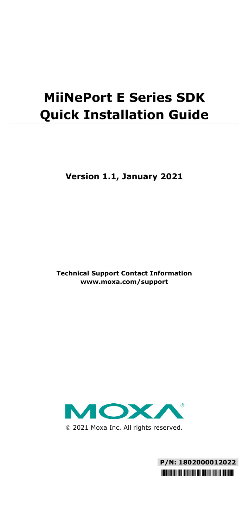# **MiiNePort E Series SDK Quick Installation Guide**

**Version 1.1, January 2021**

**Technical Support Contact Information www.moxa.com/support**



2021 Moxa Inc. All rights reserved.

**P/N: 1802000012022** \*1802000012022\*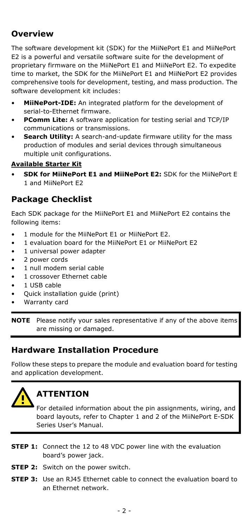## **Overview**

The software development kit (SDK) for the MiiNePort E1 and MiiNePort E2 is a powerful and versatile software suite for the development of proprietary firmware on the MiiNePort E1 and MiiNePort E2. To expedite time to market, the SDK for the MiiNePort E1 and MiiNePort E2 provides comprehensive tools for development, testing, and mass production. The software development kit includes:

- **MiiNePort-IDE:** An integrated platform for the development of serial-to-Ethernet firmware.
- **PComm Lite:** A software application for testing serial and TCP/IP communications or transmissions.
- **Search Utility:** A search-and-update firmware utility for the mass production of modules and serial devices through simultaneous multiple unit configurations.

#### **Available Starter Kit**

• **SDK for MiiNePort E1 and MiiNePort E2:** SDK for the MiiNePort E 1 and MiiNePort E2

## **Package Checklist**

Each SDK package for the MiiNePort E1 and MiiNePort E2 contains the following items:

- 1 module for the MiiNePort E1 or MiiNePort E2.
- 1 evaluation board for the MiiNePort E1 or MiiNePort E2
- 1 universal power adapter
- 2 power cords
- 1 null modem serial cable
- 1 crossover Ethernet cable
- 1 USB cable
- Quick installation guide (print)
- Warranty card

**NOTE** Please notify your sales representative if any of the above items are missing or damaged.

## **Hardware Installation Procedure**

Follow these steps to prepare the module and evaluation board for testing and application development.



## **ATTENTION**

For detailed information about the pin assignments, wiring, and board layouts, refer to Chapter 1 and 2 of the MiiNePort E-SDK Series User's Manual.

- **STEP 1:** Connect the 12 to 48 VDC power line with the evaluation board's power jack.
- **STEP 2:** Switch on the nower switch.
- **STEP 3:** Use an R145 Ethernet cable to connect the evaluation board to an Ethernet network.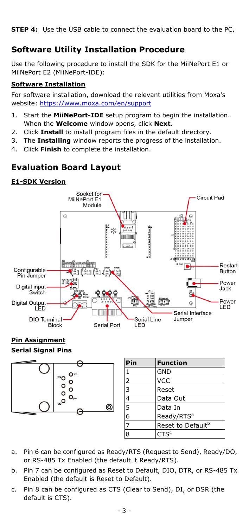**STEP 4:** Use the USB cable to connect the evaluation board to the PC.

## **Software Utility Installation Procedure**

Use the following procedure to install the SDK for the MiiNePort E1 or MiiNePort E2 (MiiNePort-IDE):

#### **Software Installation**

For software installation, download the relevant utilities from Moxa's website:<https://www.moxa.com/en/support>

- 1. Start the **MiiNePort-IDE** setup program to begin the installation. When the **Welcome** window opens, click **Next**.
- 2. Click **Install** to install program files in the default directory.
- 3. The **Installing** window reports the progress of the installation.
- 4. Click **Finish** to complete the installation.

## **Evaluation Board Layout**

#### **E1-SDK Version**



#### **Pin Assignment Serial Signal Pins**



| Pin           | <b>Function</b>               |  |
|---------------|-------------------------------|--|
| 1             | <b>GND</b>                    |  |
| $\frac{2}{3}$ | <b>VCC</b>                    |  |
|               | Reset                         |  |
| $\frac{4}{5}$ | Data Out                      |  |
|               | Data In                       |  |
|               | Ready/RTS <sup>a</sup>        |  |
| 7             | Reset to Default <sup>b</sup> |  |
| 8             | CTS <sup>c</sup>              |  |

- a. Pin 6 can be configured as Ready/RTS (Request to Send), Ready/DO, or RS-485 Tx Enabled (the default it Ready/RTS).
- b. Pin 7 can be configured as Reset to Default, DIO, DTR, or RS-485 Tx Enabled (the default is Reset to Default).
- c. Pin 8 can be configured as CTS (Clear to Send), DI, or DSR (the default is CTS).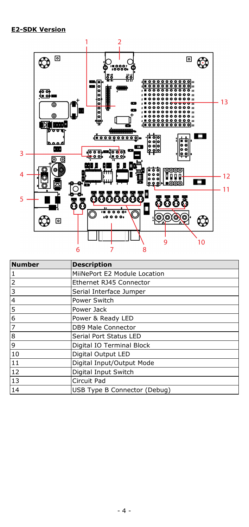

| <b>Number</b>                                                                       | <b>Description</b>           |  |
|-------------------------------------------------------------------------------------|------------------------------|--|
|                                                                                     | MiiNePort E2 Module Location |  |
|                                                                                     | Ethernet RJ45 Connector      |  |
|                                                                                     | Serial Interface Jumper      |  |
|                                                                                     | Power Switch                 |  |
|                                                                                     | Power Jack                   |  |
| $\frac{1}{2}$ $\frac{2}{3}$ $\frac{4}{4}$ $\frac{5}{5}$ $\frac{6}{7}$ $\frac{7}{8}$ | Power & Ready LED            |  |
|                                                                                     | DB9 Male Connector           |  |
|                                                                                     | Serial Port Status LED       |  |
|                                                                                     | Digital IO Terminal Block    |  |
| 10                                                                                  | Digital Output LED           |  |
| 11                                                                                  | Digital Input/Output Mode    |  |
| 12                                                                                  | Digital Input Switch         |  |
| 13                                                                                  | Circuit Pad                  |  |
| 14                                                                                  | USB Type B Connector (Debug) |  |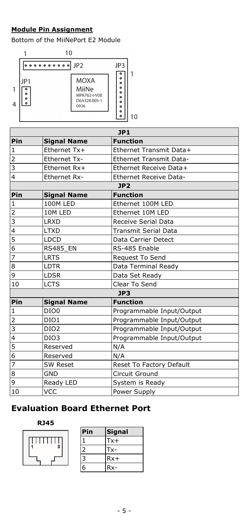#### **Module Pin Assignment**

Bottom of the MiiNePort E2 Module



| JPI                     |                     |                                |  |
|-------------------------|---------------------|--------------------------------|--|
| Pin                     | <b>Signal Name</b>  | <b>Function</b>                |  |
| $\mathbf{1}$            | Ethernet Tx+        | Ethernet Transmit Data+        |  |
| $\overline{2}$          | <b>Ethernet Tx-</b> | <b>Ethernet Transmit Data-</b> |  |
| $\overline{\mathbf{3}}$ | Ethernet Rx+        | Ethernet Receive Data+         |  |
| $\overline{4}$          | <b>Ethernet Rx-</b> | <b>Ethernet Receive Data-</b>  |  |
|                         |                     | JP2                            |  |
| Pin                     | <b>Signal Name</b>  | <b>Function</b>                |  |
| $\mathbf{1}$            | 100M LED            | Ethernet 100M LED              |  |
| $\overline{2}$          | 10M LED             | Ethernet 10M LED               |  |
| $\overline{\mathbf{3}}$ | <b>LRXD</b>         | Receive Serial Data            |  |
| $\overline{4}$          | <b>LTXD</b>         | Transmit Serial Data           |  |
| $\frac{5}{6}$           | <b>LDCD</b>         | Data Carrier Detect            |  |
|                         | <b>RS485_EN</b>     | RS-485 Enable                  |  |
| $\overline{7}$          | <b>LRTS</b>         | Request To Send                |  |
| 8                       | <b>LDTR</b>         | Data Terminal Ready            |  |
| $\overline{9}$          | <b>LDSR</b>         | Data Set Ready                 |  |
| 10                      | <b>LCTS</b>         | Clear To Send                  |  |
|                         |                     | JP3                            |  |
| Pin                     | <b>Signal Name</b>  | <b>Function</b>                |  |
| $\mathbf{1}$            | DIO <sub>0</sub>    | Programmable Input/Output      |  |
| $\overline{2}$          | DIO1                | Programmable Input/Output      |  |
| $\frac{3}{4}$           | DIO <sub>2</sub>    | Programmable Input/Output      |  |
|                         | DIO <sub>3</sub>    | Programmable Input/Output      |  |
| $\frac{5}{6}$           | Reserved            | N/A                            |  |
|                         | Reserved            | N/A                            |  |
| $\frac{1}{7}$           | <b>SW Reset</b>     | Reset To Factory Default       |  |
| $\overline{8}$          | GND                 | Circuit Ground                 |  |
| $\overline{9}$          | Ready LED           | System is Ready                |  |
| 10                      | VCC                 | Power Supply                   |  |

## **Evaluation Board Ethernet Port**

#### **RJ45**

| $\frac{1}{8}$ |  |
|---------------|--|
|               |  |

| Pin | <b>Signal</b> |
|-----|---------------|
|     | Tx+           |
|     | Tx-           |
|     | $Rx+$         |
|     | Rx-           |